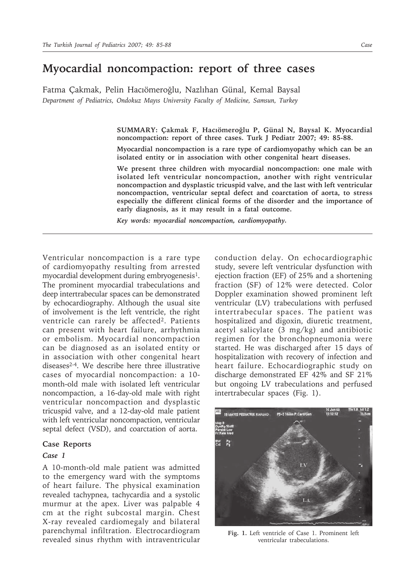# **Myocardial noncompaction: report of three cases**

Fatma Çakmak, Pelin Hacıömeroğlu, Nazlıhan Günal, Kemal Baysal *Department of Pediatrics, Ondokuz Mayıs University Faculty of Medicine, Samsun, Turkey*

> **SUMMARY: Çakmak F, Hacıömeroğlu P, Günal N, Baysal K. Myocardial noncompaction: report of three cases. Turk J Pediatr 2007; 49: 85-88.**

> **Myocardial noncompaction is a rare type of cardiomyopathy which can be an isolated entity or in association with other congenital heart diseases.**

> **We present three children with myocardial noncompaction: one male with isolated left ventricular noncompaction, another with right ventricular noncompaction and dysplastic tricuspid valve, and the last with left ventricular noncompaction, ventricular septal defect and coarctation of aorta, to stress especially the different clinical forms of the disorder and the importance of early diagnosis, as it may result in a fatal outcome.**

*Key words: myocardial noncompaction, cardiomyopathy.*

Ventricular noncompaction is a rare type of cardiomyopathy resulting from arrested myocardial development during embryogenesis<sup>1</sup>. The prominent myocardial trabeculations and deep intertrabecular spaces can be demonstrated by echocardiography. Although the usual site of involvement is the left ventricle, the right ventricle can rarely be affected<sup>2</sup>. Patients can present with heart failure, arrhythmia or embolism. Myocardial noncompaction can be diagnosed as an isolated entity or in association with other congenital heart diseases2-4. We describe here three illustrative cases of myocardial noncompaction: a 10 month-old male with isolated left ventricular noncompaction, a 16-day-old male with right ventricular noncompaction and dysplastic tricuspid valve, and a 12-day-old male patient with left ventricular noncompaction, ventricular septal defect (VSD), and coarctation of aorta.

# **Case Reports**

## *Case 1*

A 10-month-old male patient was admitted to the emergency ward with the symptoms of heart failure. The physical examination revealed tachypnea, tachycardia and a systolic murmur at the apex. Liver was palpable 4 cm at the right subcostal margin. Chest X-ray revealed cardiomegaly and bilateral parenchymal infiltration. Electrocardiogram revealed sinus rhythm with intraventricular

conduction delay. On echocardiographic study, severe left ventricular dysfunction with ejection fraction (EF) of 25% and a shortening fraction (SF) of 12% were detected. Color Doppler examination showed prominent left ventricular (LV) trabeculations with perfused intertrabecular spaces. The patient was hospitalized and digoxin, diuretic treatment, acetyl salicylate (3 mg/kg) and antibiotic regimen for the bronchopneumonia were started. He was discharged after 15 days of hospitalization with recovery of infection and heart failure. Echocardiographic study on discharge demonstrated EF 42% and SF 21% but ongoing LV trabeculations and perfused intertrabecular spaces (Fig. 1).



**Fig. 1.** Left ventricle of Case 1. Prominent left ventricular trabeculations.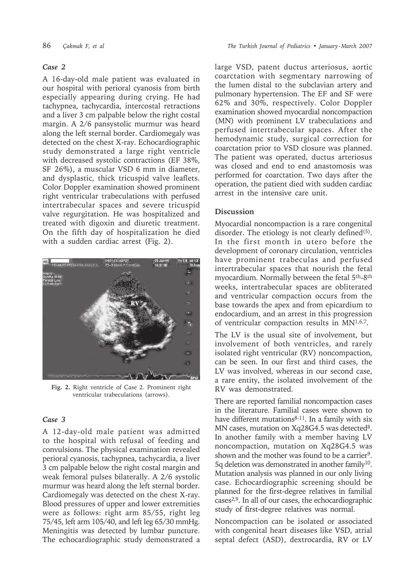#### *Case 2*

A 16-day-old male patient was evaluated in our hospital with perioral cyanosis from birth especially appearing during crying. He had tachypnea, tachycardia, intercostal retractions and a liver 3 cm palpable below the right costal margin. A 2/6 pansystolic murmur was heard along the left sternal border. Cardiomegaly was detected on the chest X-ray. Echocardiographic study demonstrated a large right ventricle with decreased systolic contractions (EF 38%, SF 26%), a muscular VSD 6 mm in diameter, and dysplastic, thick tricuspid valve leaflets. Color Doppler examination showed prominent right ventricular trabeculations with perfused intertrabecular spaces and severe tricuspid valve regurgitation. He was hospitalized and treated with digoxin and diuretic treatment. On the fifth day of hospitalization he died with a sudden cardiac arrest (Fig. 2).



**Fig. 2.** Right ventricle of Case 2. Prominent right ventricular trabeculations (arrows).

#### *Case 3*

A 12-day-old male patient was admitted to the hospital with refusal of feeding and convulsions. The physical examination revealed perioral cyanosis, tachypnea, tachycardia, a liver 3 cm palpable below the right costal margin and weak femoral pulses bilaterally. A 2/6 systolic murmur was heard along the left sternal border. Cardiomegaly was detected on the chest X-ray. Blood pressures of upper and lower extremities were as follows: right arm 85/55, right leg 75/45, left arm 105/40, and left leg 65/30 mmHg. Meningitis was detected by lumbar puncture. The echocardiographic study demonstrated a large VSD, patent ductus arteriosus, aortic coarctation with segmentary narrowing of the lumen distal to the subclavian artery and pulmonary hypertension. The EF and SF were 62% and 30%, respectively. Color Doppler examination showed myocardial noncompaction (MN) with prominent LV trabeculations and perfused intertrabecular spaces. After the hemodynamic study, surgical correction for coarctation prior to VSD closure was planned. The patient was operated, ductus arteriosus was closed and end to end anastomosis was performed for coarctation. Two days after the operation, the patient died with sudden cardiac arrest in the intensive care unit.

# **Discussion**

Myocardial noncompaction is a rare congenital disorder. The etiology is not clearly defined $(5)$ . In the first month in utero before the development of coronary circulation, ventricles have prominent trabeculas and perfused intertrabecular spaces that nourish the fetal myocardium. Normally between the fetal 5th-8th weeks, intertrabecular spaces are obliterated and ventricular compaction occurs from the base towards the apex and from epicardium to endocardium, and an arrest in this progression of ventricular compaction results in MN1,6,7.

The LV is the usual site of involvement, but involvement of both ventricles, and rarely isolated right ventricular (RV) noncompaction, can be seen. In our first and third cases, the LV was involved, whereas in our second case, a rare entity, the isolated involvement of the RV was demonstrated.

There are reported familial noncompaction cases in the literature. Familial cases were shown to have different mutations $8-11$ . In a family with six MN cases, mutation on Xq28G4.5 was detected<sup>8</sup>. In another family with a member having LV noncompaction, mutation on Xq28G4.5 was shown and the mother was found to be a carrier<sup>9</sup>. 5q deletion was demonstrated in another family10. Mutation analysis was planned in our only living case. Echocardiographic screening should be planned for the first-degree relatives in familial cases2,9. In all of our cases, the echocardiographic study of first-degree relatives was normal.

Noncompaction can be isolated or associated with congenital heart diseases like VSD, atrial septal defect (ASD), dextrocardia, RV or LV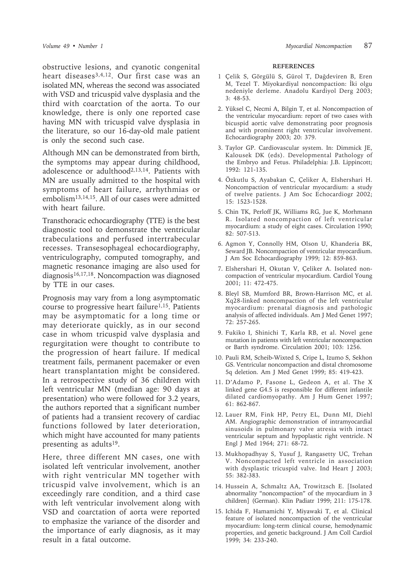obstructive lesions, and cyanotic congenital heart diseases3,4,12. Our first case was an isolated MN, whereas the second was associated with VSD and tricuspid valve dysplasia and the third with coarctation of the aorta. To our knowledge, there is only one reported case having MN with tricuspid valve dysplasia in the literature, so our 16-day-old male patient is only the second such case.

Although MN can be demonstrated from birth, the symptoms may appear during childhood, adolescence or adulthood<sup>2,13,14</sup>. Patients with MN are usually admitted to the hospital with symptoms of heart failure, arrhythmias or embolism13,14,15. All of our cases were admitted with heart failure.

Transthoracic echocardiography (TTE) is the best diagnostic tool to demonstrate the ventricular trabeculations and perfused intertrabecular recesses. Transesophageal echocardiography, ventriculography, computed tomography, and magnetic resonance imaging are also used for diagnosis16,17,18. Noncompaction was diagnosed by TTE in our cases.

Prognosis may vary from a long asymptomatic course to progressive heart failure<sup>1,15</sup>. Patients may be asymptomatic for a long time or may deteriorate quickly, as in our second case in whom tricuspid valve dysplasia and regurgitation were thought to contribute to the progression of heart failure. If medical treatment fails, permanent pacemaker or even heart transplantation might be considered. In a retrospective study of 36 children with left ventricular MN (median age: 90 days at presentation) who were followed for 3.2 years, the authors reported that a significant number of patients had a transient recovery of cardiac functions followed by later deterioration, which might have accounted for many patients presenting as adults<sup>19</sup>.

Here, three different MN cases, one with isolated left ventricular involvement, another with right ventricular MN together with tricuspid valve involvement, which is an exceedingly rare condition, and a third case with left ventricular involvement along with VSD and coarctation of aorta were reported to emphasize the variance of the disorder and the importance of early diagnosis, as it may result in a fatal outcome.

# **REFERENCES**

- 1 Çelik S, Görgülü S, Gürol T, Dağdeviren B, Eren M, Tezel T. Miyokardiyal noncompaction: İki olgu nedeniyle derleme. Anadolu Kardiyol Derg 2003; 3: 48-53.
- 2. Yüksel C, Necmi A, Bilgin T, et al. Noncompaction of the ventricular myocardium: report of two cases with bicuspid aortic valve demonstrating poor prognosis and with prominent right ventricular involvement. Echocardiography 2003; 20: 379.
- 3. Taylor GP. Cardiovascular system. In: Dimmick JE, Kalousek DK (eds). Developmental Pathology of the Embryo and Fetus. Philadelphia: J.B. Lippincott; 1992: 121-135.
- 4. Özkutlu S, Ayabakan C, Çeliker A, Elshershari H. Noncompaction of ventricular myocardium: a study of twelve patients. J Am Soc Echocardiogr 2002; 15: 1523-1528.
- 5. Chin TK, Perloff JK, Williams RG, Jue K, Morhmann R. Isolated noncompaction of left ventricular myocardium: a study of eight cases. Circulation 1990; 82: 507-513.
- 6. Agmon Y, Connolly HM, Olson U, Khanderia BK, Seward JB. Noncompaction of ventricular myocardium. J Am Soc Echocardiography 1999; 12: 859-863.
- 7. Elshershari H, Okutan V, Çeliker A. Isolated noncompaction of ventricular myocardium. Cardiol Young 2001; 11: 472-475.
- 8. Bleyl SB, Mumford BR, Brown-Harrison MC, et al. Xq28-linked noncompaction of the left ventricular myocardium: prenatal diagnosis and pathologic analysis of affected individuals. Am J Med Genet 1997; 72: 257-265.
- 9. Fukiko I, Shinichi T, Karla RB, et al. Novel gene mutation in patients with left ventricular noncompaction or Barth syndrome. Circulation 2001; 103: 1256.
- 10. Pauli RM, Scheib-Wixted S, Cripe L, Izumo S, Sekhon GS. Ventricular noncompaction and distal chromosome 5q deletion. Am J Med Genet 1999; 85: 419-423.
- 11. D'Adamo P, Fasone L, Gedeon A, et al. The X linked gene G4.5 is responsible for different infantile dilated cardiomyopathy. Am J Hum Genet 1997; 61: 862-867.
- 12. Lauer RM, Fink HP, Petry EL, Dunn MI, Diehl AM. Angiographic demonstration of intramyocardial sinusoids in pulmonary valve atresia with intact ventricular septum and hypoplastic right ventricle. N Engl J Med 1964; 271: 68-72.
- 13. Mukhopadhyay S, Yusuf J, Rangasetty UC, Trehan V. Noncompacted left ventricle in association with dysplastic tricuspid valve. Ind Heart J 2003; 55: 382-383.
- 14. Hussein A, Schmaltz AA, Trowitzsch E. [Isolated abnormality "noncompaction" of the myocardium in 3 children] (German). Klin Padiatr 1999; 211: 175-178.
- 15. Ichida F, Hamamichi Y, Miyawaki T, et al. Clinical feature of isolated noncompaction of the ventricular myocardium: long-term clinical course, hemodynamic properties, and genetic background. J Am Coll Cardiol 1999; 34: 233-240.